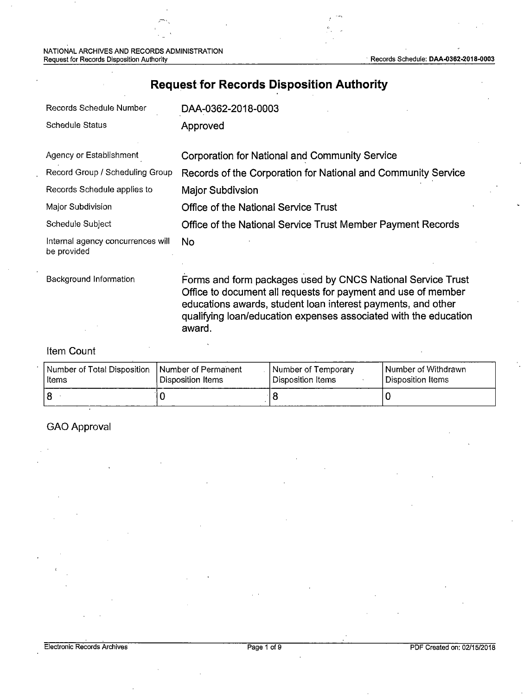NATIONAL ARCHIVES AND RECORDS ADMINISTRATION Request for Records Disposition Authority Records Schedule: DAA-0362-2018-0003

## **Request for Records Disposition Authority**

| Records Schedule Number                          | DAA-0362-2018-0003                                                                                                                                                                                                                                                         |
|--------------------------------------------------|----------------------------------------------------------------------------------------------------------------------------------------------------------------------------------------------------------------------------------------------------------------------------|
| <b>Schedule Status</b>                           | Approved                                                                                                                                                                                                                                                                   |
| Agency or Establishment                          | <b>Corporation for National and Community Service</b>                                                                                                                                                                                                                      |
| Record Group / Scheduling Group                  | Records of the Corporation for National and Community Service                                                                                                                                                                                                              |
| Records Schedule applies to                      | Major Subdivsion                                                                                                                                                                                                                                                           |
| Major Subdivision                                | Office of the National Service Trust                                                                                                                                                                                                                                       |
| Schedule Subject                                 | Office of the National Service Trust Member Payment Records                                                                                                                                                                                                                |
| Internal agency concurrences will<br>be provided | No.                                                                                                                                                                                                                                                                        |
| Background Information                           | Forms and form packages used by CNCS National Service Trust<br>Office to document all requests for payment and use of member<br>educations awards, student loan interest payments, and other<br>qualifying loan/education expenses associated with the education<br>award. |

### Item Count

| Number of Total Disposition_ | I Number of Permanent | Number of Temporary | Number of Withdrawn |
|------------------------------|-----------------------|---------------------|---------------------|
| Items                        | ' Disposition Items   | l Disposition Items | Disposition Items   |
|                              |                       |                     |                     |

## GAO Approval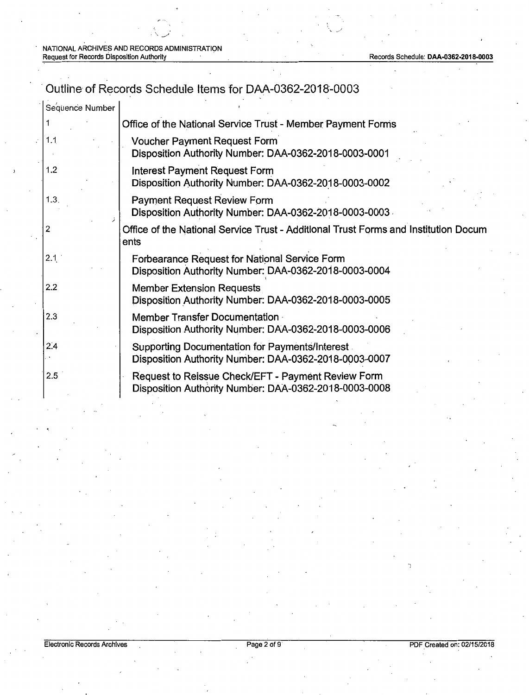# Outline of Records Schedule Items for DAA-0362-2018-0003

| Sequence Number |                                                                                                                |
|-----------------|----------------------------------------------------------------------------------------------------------------|
|                 | Office of the National Service Trust - Member Payment Forms                                                    |
| 1.1             | <b>Voucher Payment Request Form</b><br>Disposition Authority Number: DAA-0362-2018-0003-0001                   |
| 1.2             | <b>Interest Payment Request Form</b><br>Disposition Authority Number: DAA-0362-2018-0003-0002                  |
| 1.3.            | <b>Payment Request Review Form</b><br>Disposition Authority Number: DAA-0362-2018-0003-0003                    |
| 2               | Office of the National Service Trust - Additional Trust Forms and Institution Docum<br>ents                    |
| 2.1             | Forbearance Request for National Service Form<br>Disposition Authority Number: DAA-0362-2018-0003-0004         |
| 2.2             | <b>Member Extension Requests</b><br>Disposition Authority Number: DAA-0362-2018-0003-0005                      |
| 2.3             | Member Transfer Documentation<br>Disposition Authority Number: DAA-0362-2018-0003-0006                         |
| 2.4             | <b>Supporting Documentation for Payments/Interest</b><br>Disposition Authority Number: DAA-0362-2018-0003-0007 |
| 2.5             | Request to Reissue Check/EFT - Payment Review Form<br>Disposition Authority Number: DAA-0362-2018-0003-0008    |
|                 |                                                                                                                |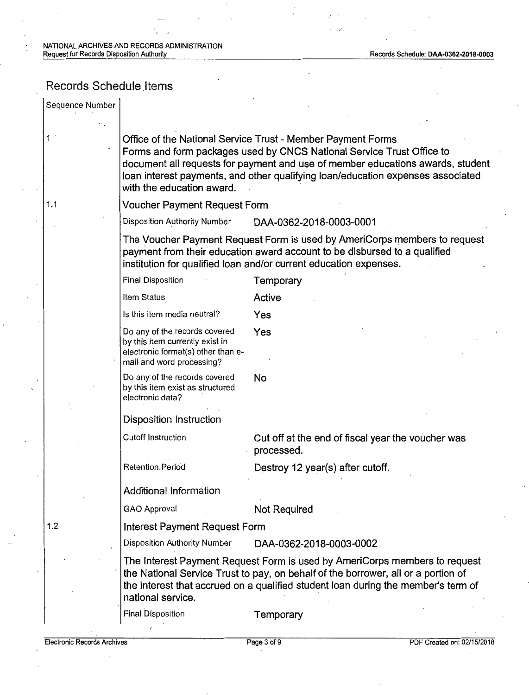## Records Schedule Items

| Sequence Number                    |                                                                                                                                                                                                                                                                                                                                        |                                                                                                                                                                                                                                                      |  |  |
|------------------------------------|----------------------------------------------------------------------------------------------------------------------------------------------------------------------------------------------------------------------------------------------------------------------------------------------------------------------------------------|------------------------------------------------------------------------------------------------------------------------------------------------------------------------------------------------------------------------------------------------------|--|--|
|                                    | Office of the National Service Trust - Member Payment Forms<br>Forms and form packages used by CNCS National Service Trust Office to<br>document all requests for payment and use of member educations awards, student<br>loan interest payments, and other qualifying loan/education expenses associated<br>with the education award. |                                                                                                                                                                                                                                                      |  |  |
| 1.1                                | <b>Voucher Payment Request Form</b>                                                                                                                                                                                                                                                                                                    |                                                                                                                                                                                                                                                      |  |  |
|                                    | Disposition Authority Number                                                                                                                                                                                                                                                                                                           | DAA-0362-2018-0003-0001                                                                                                                                                                                                                              |  |  |
|                                    |                                                                                                                                                                                                                                                                                                                                        | The Voucher Payment Request Form is used by AmeriCorps members to request<br>payment from their education award account to be disbursed to a qualified<br>institution for qualified loan and/or current education expenses.                          |  |  |
|                                    | <b>Final Disposition</b>                                                                                                                                                                                                                                                                                                               | Temporary                                                                                                                                                                                                                                            |  |  |
|                                    | Item Status                                                                                                                                                                                                                                                                                                                            | Active                                                                                                                                                                                                                                               |  |  |
|                                    | Is this item media neutral?                                                                                                                                                                                                                                                                                                            | Yes                                                                                                                                                                                                                                                  |  |  |
|                                    | Do any of the records covered<br>by this item currently exist in<br>electronic format(s) other than e-<br>mail and word processing?                                                                                                                                                                                                    | Yes                                                                                                                                                                                                                                                  |  |  |
|                                    | Do any of the records covered<br>by this item exist as structured<br>electronic data?                                                                                                                                                                                                                                                  | No                                                                                                                                                                                                                                                   |  |  |
|                                    | Disposition Instruction                                                                                                                                                                                                                                                                                                                |                                                                                                                                                                                                                                                      |  |  |
|                                    | <b>Cutoff Instruction</b>                                                                                                                                                                                                                                                                                                              | Cut off at the end of fiscal year the voucher was<br>processed.                                                                                                                                                                                      |  |  |
|                                    | Retention Period                                                                                                                                                                                                                                                                                                                       | Destroy 12 year(s) after cutoff.                                                                                                                                                                                                                     |  |  |
|                                    | Additional Information                                                                                                                                                                                                                                                                                                                 |                                                                                                                                                                                                                                                      |  |  |
|                                    | GAO Approval                                                                                                                                                                                                                                                                                                                           | <b>Not Required</b>                                                                                                                                                                                                                                  |  |  |
| 1.2                                | Interest Payment Request Form                                                                                                                                                                                                                                                                                                          |                                                                                                                                                                                                                                                      |  |  |
|                                    | <b>Disposition Authority Number</b>                                                                                                                                                                                                                                                                                                    | DAA-0362-2018-0003-0002                                                                                                                                                                                                                              |  |  |
|                                    | national service.                                                                                                                                                                                                                                                                                                                      | The Interest Payment Request Form is used by AmeriCorps members to request<br>the National Service Trust to pay, on behalf of the borrower, all or a portion of<br>the interest that accrued on a qualified student loan during the member's term of |  |  |
|                                    | Final Disposition                                                                                                                                                                                                                                                                                                                      | Temporary                                                                                                                                                                                                                                            |  |  |
| <b>Electronic Records Archives</b> |                                                                                                                                                                                                                                                                                                                                        | Page 3 of 9<br>PDF Created on: 02/15/2018                                                                                                                                                                                                            |  |  |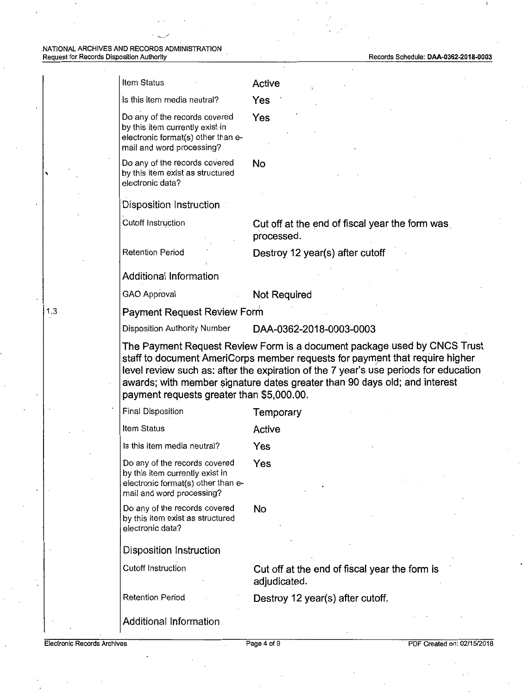|     | Item Status                                                                                                                         | Active                                                                                                                                                                                                                                                                                                                         |
|-----|-------------------------------------------------------------------------------------------------------------------------------------|--------------------------------------------------------------------------------------------------------------------------------------------------------------------------------------------------------------------------------------------------------------------------------------------------------------------------------|
|     | Is this item media neutral?                                                                                                         | Yes                                                                                                                                                                                                                                                                                                                            |
|     | Do any of the records covered<br>by this item currently exist in<br>electronic format(s) other than e-<br>mail and word processing? | Yes                                                                                                                                                                                                                                                                                                                            |
|     | Do any of the records covered<br>by this item exist as structured<br>electronic data?                                               | No                                                                                                                                                                                                                                                                                                                             |
|     | Disposition Instruction                                                                                                             |                                                                                                                                                                                                                                                                                                                                |
|     | <b>Cutoff Instruction</b>                                                                                                           | Cut off at the end of fiscal year the form was<br>processed.                                                                                                                                                                                                                                                                   |
|     | <b>Retention Period</b>                                                                                                             | Destroy 12 year(s) after cutoff                                                                                                                                                                                                                                                                                                |
|     | Additional Information                                                                                                              |                                                                                                                                                                                                                                                                                                                                |
|     | <b>GAO Approval</b>                                                                                                                 | <b>Not Required</b>                                                                                                                                                                                                                                                                                                            |
| 1.3 | Payment Request Review Form                                                                                                         |                                                                                                                                                                                                                                                                                                                                |
|     | Disposition Authority Number                                                                                                        | DAA-0362-2018-0003-0003                                                                                                                                                                                                                                                                                                        |
|     | payment requests greater than \$5,000.00.                                                                                           | The Payment Request Review Form is a document package used by CNCS Trust<br>staff to document AmeriCorps member requests for payment that require higher<br>level review such as: after the expiration of the 7 year's use periods for education<br>awards; with member signature dates greater than 90 days old; and interest |
|     | Final Disposition                                                                                                                   | Temporary                                                                                                                                                                                                                                                                                                                      |
|     | Item Status                                                                                                                         | Active                                                                                                                                                                                                                                                                                                                         |
|     | Is this item media neutral?                                                                                                         | Yes                                                                                                                                                                                                                                                                                                                            |
|     | Do any of the records covered<br>by this item currently exist in<br>electronic format(s) other than e-<br>mail and word processing? | Yes                                                                                                                                                                                                                                                                                                                            |
|     | Do any of the records covered<br>by this item exist as structured<br>electronic data?                                               | No                                                                                                                                                                                                                                                                                                                             |
|     | <b>Disposition Instruction</b>                                                                                                      |                                                                                                                                                                                                                                                                                                                                |
|     | <b>Cutoff Instruction</b>                                                                                                           | Cut off at the end of fiscal year the form is<br>adjudicated.                                                                                                                                                                                                                                                                  |
|     | <b>Retention Period</b>                                                                                                             | Destroy 12 year(s) after cutoff.                                                                                                                                                                                                                                                                                               |
|     | Additional Information                                                                                                              |                                                                                                                                                                                                                                                                                                                                |

1.3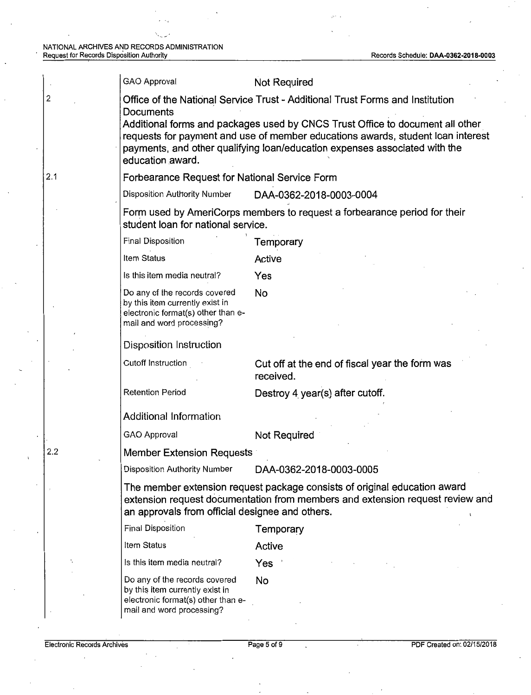| GAO Approval                                                                                                                                                                                                                                                       | Not Required                                                                                                                                                                                                  |  |  |
|--------------------------------------------------------------------------------------------------------------------------------------------------------------------------------------------------------------------------------------------------------------------|---------------------------------------------------------------------------------------------------------------------------------------------------------------------------------------------------------------|--|--|
| Office of the National Service Trust - Additional Trust Forms and Institution<br>Documents                                                                                                                                                                         |                                                                                                                                                                                                               |  |  |
| Additional forms and packages used by CNCS Trust Office to document all other<br>requests for payment and use of member educations awards, student loan interest<br>payments, and other qualifying loan/education expenses associated with the<br>education award. |                                                                                                                                                                                                               |  |  |
|                                                                                                                                                                                                                                                                    | Forbearance Request for National Service Form                                                                                                                                                                 |  |  |
| Disposition Authority Number                                                                                                                                                                                                                                       | DAA-0362-2018-0003-0004                                                                                                                                                                                       |  |  |
| student loan for national service.                                                                                                                                                                                                                                 | Form used by AmeriCorps members to request a forbearance period for their                                                                                                                                     |  |  |
| Final Disposition                                                                                                                                                                                                                                                  | Temporary                                                                                                                                                                                                     |  |  |
| Item Status                                                                                                                                                                                                                                                        | Active                                                                                                                                                                                                        |  |  |
| Is this item media neutral?                                                                                                                                                                                                                                        | Yes                                                                                                                                                                                                           |  |  |
| Do any of the records covered<br>by this item currently exist in<br>electronic format(s) other than e-<br>mail and word processing?                                                                                                                                | No                                                                                                                                                                                                            |  |  |
| Disposition Instruction                                                                                                                                                                                                                                            |                                                                                                                                                                                                               |  |  |
| Cutoff Instruction                                                                                                                                                                                                                                                 | Cut off at the end of fiscal year the form was<br>received.                                                                                                                                                   |  |  |
| <b>Retention Period</b>                                                                                                                                                                                                                                            | Destroy 4 year(s) after cutoff.                                                                                                                                                                               |  |  |
| <b>Additional Information</b>                                                                                                                                                                                                                                      |                                                                                                                                                                                                               |  |  |
| GAO Approval                                                                                                                                                                                                                                                       | Not Required                                                                                                                                                                                                  |  |  |
| <b>Member Extension Requests</b>                                                                                                                                                                                                                                   |                                                                                                                                                                                                               |  |  |
| <b>Disposition Authority Number</b>                                                                                                                                                                                                                                | DAA-0362-2018-0003-0005                                                                                                                                                                                       |  |  |
|                                                                                                                                                                                                                                                                    | The member extension request package consists of original education award<br>extension request documentation from members and extension request review and<br>an approvals from official designee and others. |  |  |
| <b>Final Disposition</b>                                                                                                                                                                                                                                           | Temporary                                                                                                                                                                                                     |  |  |
| Item Status                                                                                                                                                                                                                                                        | Active                                                                                                                                                                                                        |  |  |
| Is this item media neutral?                                                                                                                                                                                                                                        | Yes                                                                                                                                                                                                           |  |  |
| Do any of the records covered<br>by this item currently exist in<br>electronic format(s) other than e-<br>mail and word processing?                                                                                                                                | No                                                                                                                                                                                                            |  |  |

2

2.1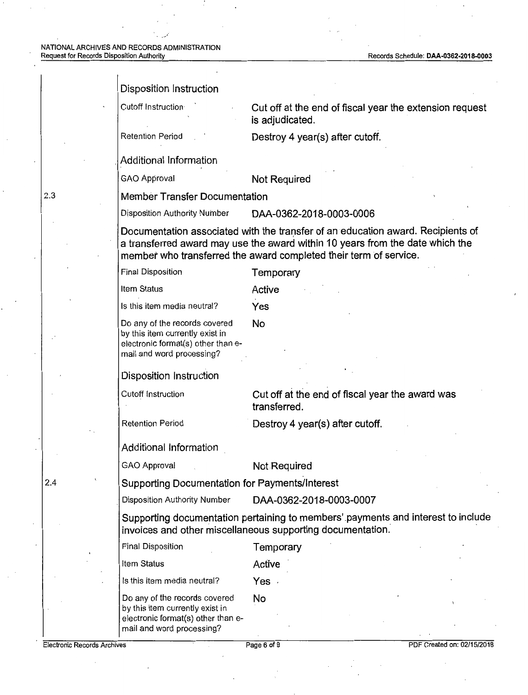#### Disposition Instruction

Cutoff Instruction **Cut off at the end of fiscal year the extension request is adjudicated.** 

Retention Period **Destroy 4 year(s) after cutoff.** 

, Additional Information

GAO Approval **Not Required** 

2.3 **Member Transfer Documentation** 

Disposition Authority Number **DAA-0362-2018-0003-0006** 

Documentation associated with the transfer of an education award. Recipients of **a transferred award may use the award within 10 years from the date which the member who transferred the award completed their term of service.** 

|                                    | Final Disposition                                                                                                                   | Temporary                                                                                                                                      |                            |
|------------------------------------|-------------------------------------------------------------------------------------------------------------------------------------|------------------------------------------------------------------------------------------------------------------------------------------------|----------------------------|
|                                    | Item Status                                                                                                                         | Active                                                                                                                                         |                            |
|                                    | Is this item media neutral?                                                                                                         | Yes                                                                                                                                            |                            |
|                                    | Do any of the records covered<br>by this item currently exist in<br>electronic format(s) other than e-<br>mail and word processing? | <b>No</b>                                                                                                                                      |                            |
|                                    | <b>Disposition Instruction</b>                                                                                                      |                                                                                                                                                |                            |
|                                    | Cutoff Instruction                                                                                                                  | Cut off at the end of fiscal year the award was<br>transferred.                                                                                |                            |
|                                    | <b>Retention Period</b>                                                                                                             | Destroy 4 year(s) after cutoff.                                                                                                                |                            |
|                                    | Additional Information                                                                                                              |                                                                                                                                                |                            |
|                                    | GAO Approval                                                                                                                        | Not Required                                                                                                                                   |                            |
| 2.4                                | Supporting Documentation for Payments/Interest                                                                                      |                                                                                                                                                |                            |
|                                    | Disposition Authority Number                                                                                                        | DAA-0362-2018-0003-0007                                                                                                                        |                            |
|                                    |                                                                                                                                     | Supporting documentation pertaining to members' payments and interest to include<br>invoices and other miscellaneous supporting documentation. |                            |
|                                    | <b>Final Disposition</b>                                                                                                            | Temporary                                                                                                                                      |                            |
|                                    | Item Status                                                                                                                         | Active                                                                                                                                         |                            |
|                                    | Is this item media neutral?                                                                                                         | Yes .                                                                                                                                          |                            |
|                                    | Do any of the records covered<br>by this item currently exist in<br>electronic format(s) other than e-<br>mail and word processing? | No                                                                                                                                             |                            |
| <b>Electronic Records Archives</b> |                                                                                                                                     | Page 6 of 9                                                                                                                                    | PDF Created on: 02/15/2018 |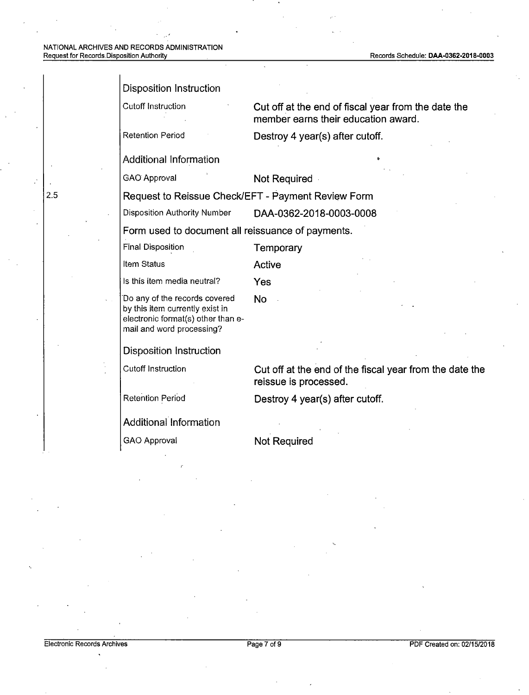| <b>Disposition Instruction</b>                                                                                                      |                                                                                            |  |
|-------------------------------------------------------------------------------------------------------------------------------------|--------------------------------------------------------------------------------------------|--|
| Cutoff Instruction                                                                                                                  | Cut off at the end of fiscal year from the date the<br>member earns their education award. |  |
| <b>Retention Period</b>                                                                                                             | Destroy 4 year(s) after cutoff.                                                            |  |
| <b>Additional Information</b>                                                                                                       |                                                                                            |  |
| <b>GAO</b> Approval                                                                                                                 | Not Required                                                                               |  |
| Request to Reissue Check/EFT - Payment Review Form                                                                                  |                                                                                            |  |
| <b>Disposition Authority Number</b>                                                                                                 | DAA-0362-2018-0003-0008                                                                    |  |
| Form used to document all reissuance of payments.                                                                                   |                                                                                            |  |
| <b>Final Disposition</b>                                                                                                            | Temporary                                                                                  |  |
| Item Status                                                                                                                         | <b>Active</b>                                                                              |  |
| Is this item media neutral?                                                                                                         | Yes                                                                                        |  |
| Do any of the records covered<br>by this item currently exist in<br>electronic format(s) other than e-<br>mail and word processing? | <b>No</b>                                                                                  |  |
| <b>Disposition Instruction</b>                                                                                                      |                                                                                            |  |
| <b>Cutoff Instruction</b>                                                                                                           | Cut off at the end of the fiscal year from the date the<br>reissue is processed.           |  |
| <b>Retention Period</b>                                                                                                             | Destroy 4 year(s) after cutoff.                                                            |  |
| Additional Information                                                                                                              |                                                                                            |  |
| GAO Approval                                                                                                                        | <b>Not Required</b>                                                                        |  |
|                                                                                                                                     |                                                                                            |  |

 $\ddot{\phantom{a}}$ 

2.5

 $\ddot{\cdot}$ 

Electronic Records Archives **Page 7** of 9 PDF Created on: 02/15/2018